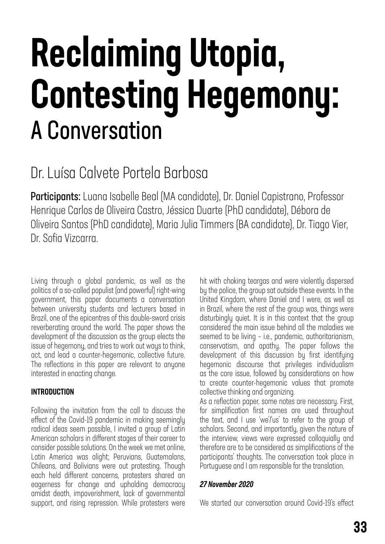# Reclaiming Utopia, Contesting Hegemony: A Conversation

### Dr. Luísa Calvete Portela Barbosa

Participants: Luana Isabelle Beal (MA candidate), Dr. Daniel Capistrano, Professor Henrique Carlos de Oliveira Castro, Jéssica Duarte (PhD candidate), Débora de Oliveira Santos (PhD candidate), Maria Julia Timmers (BA candidate), Dr. Tiago Vier, Dr. Sofia Vizcarra.

Living through a global pandemic, as well as the politics of a so-called populist (and powerful) right-wing government, this paper documents a conversation between university students and lecturers based in Brazil, one of the epicentres of this double-sword crisis reverberating around the world. The paper shows the development of the discussion as the group elects the issue of hegemony, and tries to work out ways to think, act, and lead a counter-hegemonic, collective future. The reflections in this paper are relevant to anyone interested in enacting change.

#### INTRODUCTION

Following the invitation from the call to discuss the effect of the Covid-19 pandemic in making seemingly radical ideas seem possible, I invited a group of Latin American scholars in different stages of their career to consider possible solutions. On the week we met online, Latin America was alight; Peruvians, Guatemalans, Chileans, and Bolivians were out protesting. Though each held different concerns, protesters shared an eagerness for change and upholding democracy amidst death, impoverishment, lack of governmental support, and rising repression. While protesters were

hit with choking teargas and were violently dispersed by the police, the group sat outside these events. In the United Kingdom, where Daniel and I were, as well as in Brazil, where the rest of the group was, things were disturbingly quiet. It is in this context that the group considered the main issue behind all the maladies we seemed to be living – i.e., pandemic, authoritarianism, conservatism, and apathy. The paper follows the development of this discussion by first identifying hegemonic discourse that privileges individualism as the core issue, followed by considerations on how to create counter-hegemonic values that promote collective thinking and organizing. As a reflection paper, some notes are necessary. First,

for simplification first names are used throughout the text, and I use 'we'/'us' to refer to the group of scholars. Second, and importantly, given the nature of the interview, views were expressed colloquially and therefore are to be considered as simplifications of the participants' thoughts. The conversation took place in Portuguese and I am responsible for the translation.

#### *27 November 2020*

We started our conversation around Covid-19's effect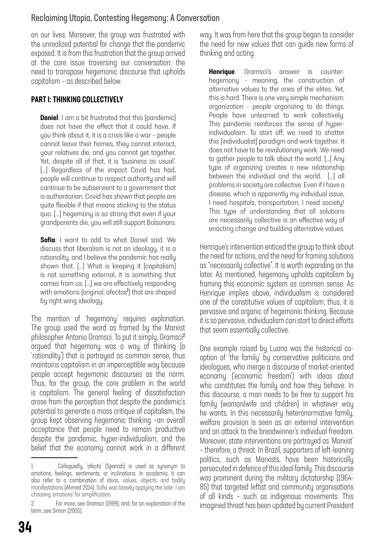#### Reclaiming Utopia, Contesting Hegemony: A Conversation

on our lives. Moreover, the group was frustrated with the unrealized potential for change that the pandemic exposed. It is from this frustration that the group arrived at the core issue traversing our conversation: the need to transpose hegemonic discourse that upholds capitalism – as described below.

#### PART I: THINKING COLLECTIVELY

**Daniel:** I am a bit frustrated that this [pandemic] does not have the effect that it could have. If you think about it, it is a crisis like a war – people cannot leave their homes, they cannot interact, your relatives die, and you cannot get together. Yet, despite all of that, it is 'business as usual'. [...] Regardless of the impact Covid has had, people will continue to respect authority and will continue to be subservient to a government that is authoritarian. Covid has shown that people are quite flexible if that means sticking to the status quo. […] hegemony is so strong that even if your grandparents die, you will still support Bolsonaro.

**Sofia**: I want to add to what Daniel said. We discuss that liberalism is not an ideology, it is a rationality, and I believe the pandemic has really shown that. […] What is keeping it [capitalism] is not something external, it is something that comes from us. […] we are effectively responding with emotions (original, afectos<sup>1</sup>) that are shaped by right wing ideology.

The mention of 'hegemony' requires explanation. The group used the word as framed by the Marxist philosopher Antonio Gramsci. To put it simply, Gramsci<sup>2</sup> argued that hegemony was a way of thinking (a 'rationality') that is portrayed as common sense, thus maintains capitalism in an imperceptible way because people accept hegemonic discourses as the norm. Thus, for the group, the core problem in the world is capitalism. The general feeling of dissatisfaction arose from the perception that despite the pandemic's potential to generate a mass critique of capitalism, the group kept observing hegemonic thinking –an overall acceptance that people need to remain productive despite the pandemic, hyper-individualism, and the belief that the economy cannot work in a different way. It was from here that the group began to consider the need for new values that can guide new forms of thinking and acting.

Henrique: Gramsci's answer is counterhegemony - meaning, the construction of alternative values to the ones of the elites. Yet, this is hard. There is one very simple mechanism: organization - people organizing to do things. People have unlearned to work collectively. This pandemic reinforces the sense of hyperindividualism. To start off, we need to shatter this [individualist] paradigm and work together. It does not have to be revolutionary work. We need to gather people to talk about the world. […] Any type of organizing creates a new relationship between the individual and the world. […] all problems in society are collective. Even if I have a disease, which is apparently my individual issue, I need hospitals, transportation, I need society! This type of understanding that all solutions are necessarily collective is an effective way of enacting change and building alternative values.

Henrique's intervention enticed the group to think about the need for actions, and the need for framing solutions as "necessarily collective". It is worth expanding on the later. As mentioned, hegemony upholds capitalism by framing this economic system as common sense. As Henrique implies above, individualism is considered one of the constitutive values of capitalism; thus, it is pervasive and organic of hegemonic thinking. Because it is so pervasive, individualism can start to direct efforts that seem essentially collective.

One example raised by Luana was the historical cooption of 'the family' by conservative politicians and ideologues, who merge a discourse of market-oriented economy ('economic freedom') with ideas about who constitutes the family and how they behave. In this discourse, a man needs to be free to support his family (woman/wife and children) in whatever way he wants. In this necessarily heteronormative family, welfare provision is seen as an external intervention and an attack to the breadwinner's individual freedom. Moreover, state interventions are portrayed as 'Marxist' – therefore, a threat. In Brazil, supporters of left-leaning politics, such as Marxists, have been historically persecuted in defence of this ideal family. This discourse was prominent during the military dictatorship (1964- 85) that targeted leftist and community organisations of all kinds – such as indigenous movements. This imagined threat has been updated by current President

<sup>1</sup> Colloquially, 'afecto' (Spanish) is used as synonym to emotions, feelings, sentiments, or inclinations. In academia, it can also refer to a combination of ideas, values, objects, and bodily manifestations (Ahmed 2014). Sofia was loosely applying the later. I am choosing 'emotions' for simplification.

<sup>2</sup> For more, see Gramsci (1999), and, for an explanation of the term, see Simon (2005).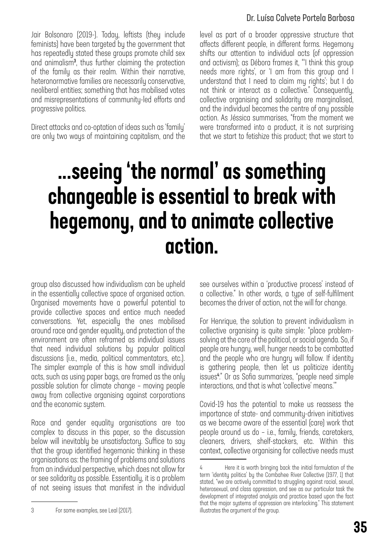#### Dr. Luísa Calvete Portela Barbosa

Jair Bolsonaro (2019-). Today, leftists (they include feminists) have been targeted by the government that has repeatedly stated these groups promote child sex and animalism<sup>3</sup> , thus further claiming the protection of the family as their realm. Within their narrative, heteronormative families are necessarily conservative, neoliberal entities; something that has mobilised votes and misrepresentations of community-led efforts and progressive politics.

Direct attacks and co-optation of ideas such as 'family' are only two ways of maintaining capitalism, and the level as part of a broader oppressive structure that affects different people, in different forms. Hegemony shifts our attention to individual acts (of oppression and activism); as Débora frames it, "'I think this group needs more rights', or 'I am from this group and I understand that I need to claim my rights'; but I do not think or interact as a collective." Consequently, collective organising and solidarity are marginalised, and the individual becomes the centre of any possible action. As Jéssica summarises, "from the moment we were transformed into a product, it is not surprising that we start to fetishize this product; that we start to

## ...seeing 'the normal' as something changeable is essential to break with hegemony, and to animate collective action.

group also discussed how individualism can be upheld in the essentially collective space of organised action. Organised movements have a powerful potential to provide collective spaces and entice much needed conversations. Yet, especially the ones mobilised around race and gender equality, and protection of the environment are often reframed as individual issues that need individual solutions by popular political discussions (i.e., media, political commentators, etc.). The simpler example of this is how small individual acts, such as using paper bags, are framed as the only possible solution for climate change – moving people away from collective organising against corporations and the economic system.

Race and gender equality organisations are too complex to discuss in this paper, so the discussion below will inevitably be unsatisfactory. Suffice to say that the group identified hegemonic thinking in these organisations as: the framing of problems and solutions from an individual perspective, which does not allow for or see solidarity as possible. Essentially, it is a problem of not seeing issues that manifest in the individual

3 For some examples, see Leal (2017).

see ourselves within a 'productive process' instead of a collective." In other words, a type of self-fulfilment becomes the driver of action, not the will for change.

For Henrique, the solution to prevent individualism in collective organising is quite simple: "place problemsolving at the core of the political, or social agenda. So, if people are hungry, well, hunger needs to be combatted and the people who are hungry will follow. If identity is gathering people, then let us politicize identity issues<sup>4</sup> ." Or as Sofia summarizes, "people need simple interactions, and that is what 'collective' means.'"

Covid-19 has the potential to make us reassess the importance of state- and community-driven initiatives as we became aware of the essential (care) work that people around us do – i.e., family, friends, caretakers, cleaners, drivers, shelf-stackers, etc. Within this context, collective organising for collective needs must

<sup>4</sup> Here it is worth bringing back the initial formulation of the term 'identity politics' by the Combahee River Collective (1977, 1) that stated, "we are actively committed to struggling against racial, sexual, heterosexual, and class oppression, and see as our particular task the development of integrated analysis and practice based upon the fact that the major systems of oppression are interlocking." This statement illustrates the argument of the group.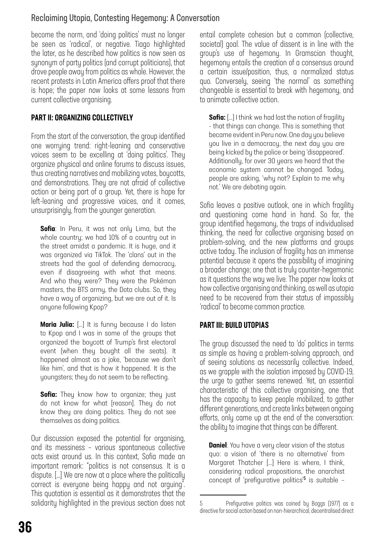#### Reclaiming Utopia, Contesting Hegemony: A Conversation

become the norm, and 'doing politics' must no longer be seen as 'radical', or negative. Tiago highlighted the later, as he described how politics is now seen as synonym of party politics (and corrupt politicians), that drove people away from politics as whole. However, the recent protests in Latin America offers proof that there is hope; the paper now looks at some lessons from current collective organising.

#### PART II: ORGANIZING COLLECTIVELY

From the start of the conversation, the group identified one worrying trend: right-leaning and conservative voices seem to be excelling at 'doing politics'. They organize physical and online forums to discuss issues, thus creating narratives and mobilizing votes, boycotts, and demonstrations. They are not afraid of collective action or being part of a group. Yet, there is hope for left-leaning and progressive voices, and it comes, unsurprisingly, from the younger generation.

**Sofia**: In Peru, it was not only Lima, but the whole country; we had 10% of a country out in the street amidst a pandemic. It is huge, and it was organized via TikTok. The 'clans' out in the streets had the goal of defending democracy, even if disagreeing with what that means. And who they were? They were the Pokémon masters, the BTS army, the Dota clubs. So, they have a way of organizing, but we are out of it. Is anyone following Kpop?

**Maria Julia:** [...] It is funny because I do listen to Kpop and I was in some of the groups that organized the boycott of Trump's first electoral event (when they bought all the seats). It happened almost as a joke, 'because we don't like him', and that is how it happened. It is the youngsters; they do not seem to be reflecting.

**Sofia:** They know how to organize; they just do not know for what [reason]. They do not know they are doing politics. They do not see themselves as doing politics.

Our discussion exposed the potential for organising, and its messiness – various spontaneous collective acts exist around us. In this context, Sofia made an important remark: "politics is not consensus. It is a dispute. […] We are now at a place where the politically correct is everyone being happy and not arguing". This quotation is essential as it demonstrates that the solidarity highlighted in the previous section does not entail complete cohesion but a common (collective, societal) goal. The value of dissent is in line with the group's use of hegemony. In Gramscian thought, hegemony entails the creation of a consensus around a certain issue/position, thus, a normalized status quo. Conversely, seeing 'the normal' as something changeable is essential to break with hegemony, and to animate collective action.

**Sofia:** [...] I think we had lost the notion of fragility - that things can change. This is something that became evident in Peru now. One day you believe you live in a democracy, the next day you are being kicked by the police or being 'disappeared'. Additionally, for over 30 years we heard that the economic system cannot be changed. Today, people are asking, 'why not? Explain to me why not.' We are debating again.

Sofia leaves a positive outlook, one in which fragility and questioning come hand in hand. So far, the group identified hegemony, the traps of individualised thinking, the need for collective organising based on problem-solving, and the new platforms and groups active today. The inclusion of fragility has an immense potential because it opens the possibility of imagining a broader change; one that is truly counter-hegemonic as it questions the way we live. The paper now looks at how collective organising and thinking, as well as utopia need to be recovered from their status of impossibly 'radical' to become common practice.

#### PART III: BUILD UTOPIAS

The group discussed the need to 'do' politics in terms as simple as having a problem-solving approach, and of seeing solutions as necessarily collective. Indeed, as we grapple with the isolation imposed by COVID-19, the urge to gather seems renewed. Yet, an essential characteristic of this collective organising, one that has the capacity to keep people mobilized, to gather different generations, and create links between ongoing efforts, only came up at the end of the conversation: the ability to imagine that things can be different.

**Daniel:** You have a very clear vision of the status quo: a vision of 'there is no alternative' from Margaret Thatcher […] Here is where, I think, considering radical propositions, the anarchist concept of 'prefigurative politics'<sup>5</sup> is suitable -

<sup>5</sup> Prefigurative politics was coined by Boggs (1977) as a directive for social action based on non-hierarchical, decentralised direct